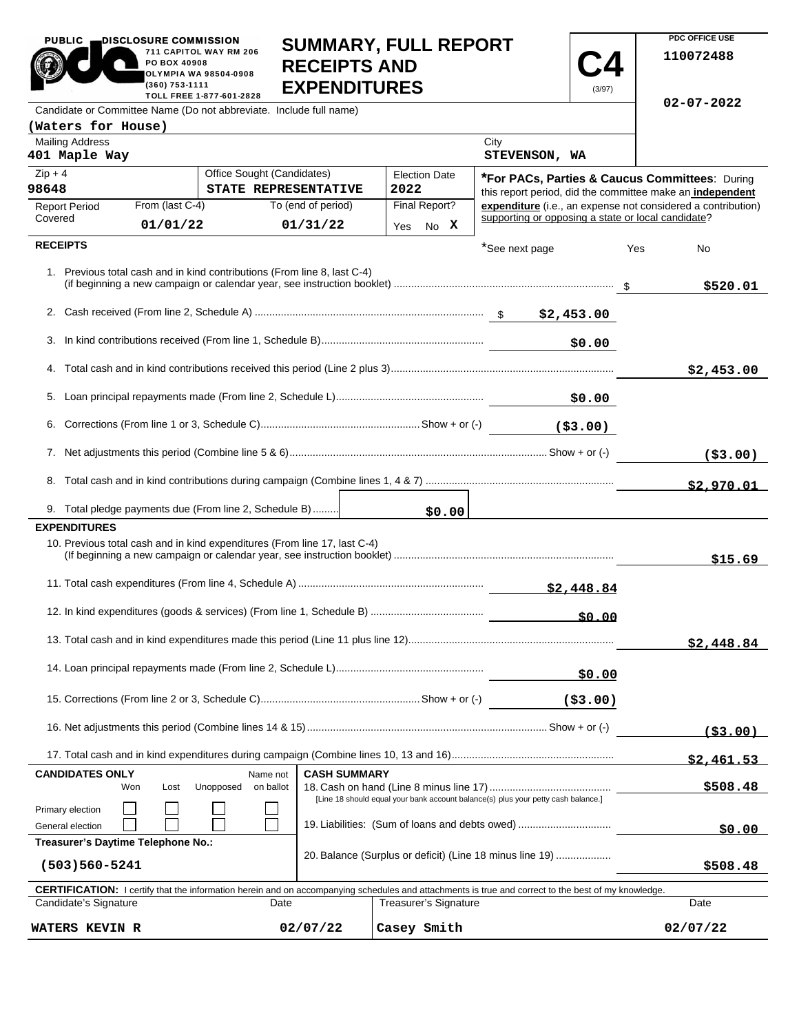| <b>PUBLIC</b><br>DISCLOSURE COMMISSION<br>711 CAPITOL WAY RM 206<br>PO BOX 40908<br><b>OLYMPIA WA 98504-0908</b><br>(360) 753-1111<br>TOLL FREE 1-877-601-2828 |                 |                                                    |                    | <b>SUMMARY, FULL REPORT</b><br><b>RECEIPTS AND</b><br><b>EXPENDITURES</b><br>(3/97) |                                                                                   |                                                    |           | PDC OFFICE USE<br>110072488 |                                                                                                                        |
|----------------------------------------------------------------------------------------------------------------------------------------------------------------|-----------------|----------------------------------------------------|--------------------|-------------------------------------------------------------------------------------|-----------------------------------------------------------------------------------|----------------------------------------------------|-----------|-----------------------------|------------------------------------------------------------------------------------------------------------------------|
| Candidate or Committee Name (Do not abbreviate. Include full name)                                                                                             |                 |                                                    |                    |                                                                                     |                                                                                   |                                                    |           |                             | $02 - 07 - 2022$                                                                                                       |
| (Waters for House)                                                                                                                                             |                 |                                                    |                    |                                                                                     |                                                                                   |                                                    |           |                             |                                                                                                                        |
| <b>Mailing Address</b><br>401 Maple Way                                                                                                                        |                 |                                                    |                    |                                                                                     |                                                                                   | City<br>STEVENSON, WA                              |           |                             |                                                                                                                        |
| $Zip + 4$<br>98648                                                                                                                                             |                 | Office Sought (Candidates)<br>STATE REPRESENTATIVE |                    |                                                                                     | <b>Election Date</b><br>2022                                                      |                                                    |           |                             | <b>*For PACs, Parties &amp; Caucus Committees: During</b><br>this report period, did the committee make an independent |
| <b>Report Period</b>                                                                                                                                           | From (last C-4) |                                                    | To (end of period) |                                                                                     | Final Report?                                                                     |                                                    |           |                             | expenditure (i.e., an expense not considered a contribution)                                                           |
| Covered                                                                                                                                                        | 01/01/22        |                                                    | 01/31/22           |                                                                                     | Yes No X                                                                          | supporting or opposing a state or local candidate? |           |                             |                                                                                                                        |
| <b>RECEIPTS</b>                                                                                                                                                |                 |                                                    |                    |                                                                                     |                                                                                   | *See next page                                     |           | Yes                         | No                                                                                                                     |
| 1. Previous total cash and in kind contributions (From line 8, last C-4)                                                                                       |                 |                                                    |                    |                                                                                     |                                                                                   |                                                    |           |                             | \$520.01                                                                                                               |
|                                                                                                                                                                |                 |                                                    |                    |                                                                                     |                                                                                   |                                                    |           |                             |                                                                                                                        |
|                                                                                                                                                                |                 |                                                    |                    |                                                                                     |                                                                                   |                                                    | \$0.00    |                             |                                                                                                                        |
|                                                                                                                                                                |                 |                                                    |                    |                                                                                     |                                                                                   |                                                    |           |                             | \$2,453.00                                                                                                             |
|                                                                                                                                                                |                 |                                                    |                    |                                                                                     | 50.00 \$0.00 - \$10.00 \$10.00 \$10.00                                            |                                                    |           |                             |                                                                                                                        |
|                                                                                                                                                                |                 |                                                    |                    |                                                                                     |                                                                                   |                                                    |           |                             |                                                                                                                        |
|                                                                                                                                                                |                 |                                                    |                    |                                                                                     |                                                                                   |                                                    |           |                             | ( \$3.00)                                                                                                              |
|                                                                                                                                                                |                 |                                                    |                    |                                                                                     |                                                                                   |                                                    |           |                             | \$2.970.01                                                                                                             |
| 9. Total pledge payments due (From line 2, Schedule B)                                                                                                         |                 |                                                    |                    |                                                                                     | \$0.00                                                                            |                                                    |           |                             |                                                                                                                        |
| <b>EXPENDITURES</b>                                                                                                                                            |                 |                                                    |                    |                                                                                     |                                                                                   |                                                    |           |                             |                                                                                                                        |
| 10. Previous total cash and in kind expenditures (From line 17, last C-4)                                                                                      |                 |                                                    |                    |                                                                                     |                                                                                   |                                                    |           |                             | \$15.69                                                                                                                |
|                                                                                                                                                                |                 |                                                    |                    |                                                                                     |                                                                                   |                                                    |           |                             |                                                                                                                        |
|                                                                                                                                                                |                 |                                                    |                    |                                                                                     |                                                                                   |                                                    | \$0.00    |                             |                                                                                                                        |
|                                                                                                                                                                |                 |                                                    |                    |                                                                                     |                                                                                   |                                                    |           |                             | \$2,448.84                                                                                                             |
|                                                                                                                                                                |                 |                                                    |                    |                                                                                     |                                                                                   |                                                    | \$0.00    |                             |                                                                                                                        |
|                                                                                                                                                                |                 |                                                    |                    |                                                                                     |                                                                                   |                                                    | ( \$3.00) |                             |                                                                                                                        |
|                                                                                                                                                                |                 |                                                    |                    |                                                                                     |                                                                                   |                                                    |           |                             | (53,00)                                                                                                                |
|                                                                                                                                                                |                 |                                                    |                    |                                                                                     |                                                                                   |                                                    |           |                             | \$2,461.53                                                                                                             |
| <b>CANDIDATES ONLY</b>                                                                                                                                         |                 | Unopposed                                          | Name not           | <b>CASH SUMMARY</b>                                                                 |                                                                                   |                                                    |           |                             |                                                                                                                        |
| Won                                                                                                                                                            | Lost            |                                                    | on ballot          |                                                                                     | [Line 18 should equal your bank account balance(s) plus your petty cash balance.] |                                                    |           |                             | \$508.48                                                                                                               |
| Primary election<br>General election                                                                                                                           |                 |                                                    |                    |                                                                                     | 19. Liabilities: (Sum of loans and debts owed)                                    |                                                    |           |                             |                                                                                                                        |
| Treasurer's Daytime Telephone No.:                                                                                                                             |                 |                                                    |                    |                                                                                     |                                                                                   |                                                    |           |                             | <u>50.00</u>                                                                                                           |

**PDC OFFICE USE** 

| (503)560-5241                                                                                                                                              |          |                       | \$508.48 |  |  |  |  |  |
|------------------------------------------------------------------------------------------------------------------------------------------------------------|----------|-----------------------|----------|--|--|--|--|--|
| <b>CERTIFICATION:</b> I certify that the information herein and on accompanying schedules and attachments is true and correct to the best of my knowledge. |          |                       |          |  |  |  |  |  |
| Candidate's Signature                                                                                                                                      | Date     | Treasurer's Signature | Date     |  |  |  |  |  |
| <b>WATERS KEVIN R</b>                                                                                                                                      | 02/07/22 | Casey Smith           | 02/07/22 |  |  |  |  |  |

20. Balance (Surplus or deficit) (Line 18 minus line 19) ...................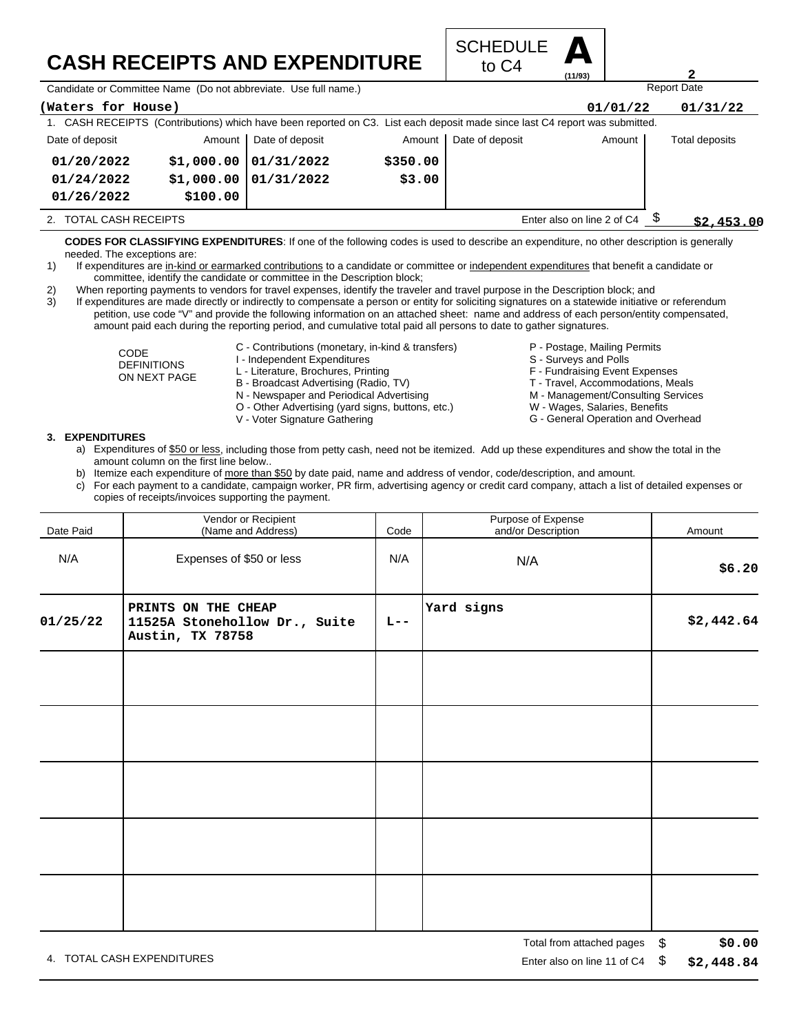## **CASH RECEIPTS AND EXPENDITURE**



Candidate or Committee Name (Do not abbreviate. Use full name.)

| (Waters for House)                                                                                                          |            |                 |          |                            | 01/01/22   | 01/31/22       |
|-----------------------------------------------------------------------------------------------------------------------------|------------|-----------------|----------|----------------------------|------------|----------------|
| 1. CASH RECEIPTS (Contributions) which have been reported on C3. List each deposit made since last C4 report was submitted. |            |                 |          |                            |            |                |
| Date of deposit                                                                                                             | Amount     | Date of deposit | Amount   | Date of deposit            | Amount     | Total deposits |
| 01/20/2022                                                                                                                  | \$1,000.00 | 01/31/2022      | \$350.00 |                            |            |                |
| 01/24/2022                                                                                                                  | \$1,000.00 | 01/31/2022      | \$3.00   |                            |            |                |
| 01/26/2022                                                                                                                  | \$100.00   |                 |          |                            |            |                |
| <b>TOTAL CASH RECEIPTS</b>                                                                                                  |            |                 |          | Enter also on line 2 of C4 | \$2,453.00 |                |

**CODES FOR CLASSIFYING EXPENDITURES**: If one of the following codes is used to describe an expenditure, no other description is generally needed. The exceptions are:

- 1) If expenditures are in-kind or earmarked contributions to a candidate or committee or independent expenditures that benefit a candidate or committee, identify the candidate or committee in the Description block;
- 2) When reporting payments to vendors for travel expenses, identify the traveler and travel purpose in the Description block; and

3) If expenditures are made directly or indirectly to compensate a person or entity for soliciting signatures on a statewide initiative or referendum petition, use code "V" and provide the following information on an attached sheet: name and address of each person/entity compensated, amount paid each during the reporting period, and cumulative total paid all persons to date to gather signatures.

> CODE DEFINITIONS ON NEXT PAGE

- C Contributions (monetary, in-kind & transfers)
- I Independent Expenditures
- L Literature, Brochures, Printing
- B Broadcast Advertising (Radio, TV)
- N Newspaper and Periodical Advertising
- O Other Advertising (yard signs, buttons, etc.)
- V Voter Signature Gathering
- P Postage, Mailing Permits
- S Surveys and Polls
- F Fundraising Event Expenses
- 
- T Travel, Accommodations, Meals

Report Date

**2**

- M Management/Consulting Services W - Wages, Salaries, Benefits
- G General Operation and Overhead

## **3. EXPENDITURES**

- a) Expenditures of \$50 or less, including those from petty cash, need not be itemized. Add up these expenditures and show the total in the amount column on the first line below..
- b) Itemize each expenditure of more than \$50 by date paid, name and address of vendor, code/description, and amount.
- c) For each payment to a candidate, campaign worker, PR firm, advertising agency or credit card company, attach a list of detailed expenses or copies of receipts/invoices supporting the payment.

| Date Paid | Vendor or Recipient<br>(Name and Address)                                | Code    | Purpose of Expense<br>and/or Description | Amount     |
|-----------|--------------------------------------------------------------------------|---------|------------------------------------------|------------|
| N/A       | Expenses of \$50 or less                                                 | N/A     | N/A                                      | \$6.20     |
| 01/25/22  | PRINTS ON THE CHEAP<br>11525A Stonehollow Dr., Suite<br>Austin, TX 78758 | $L = -$ | Yard signs                               | \$2,442.64 |
|           |                                                                          |         |                                          |            |
|           |                                                                          |         |                                          |            |
|           |                                                                          |         |                                          |            |
|           |                                                                          |         |                                          |            |
|           |                                                                          |         |                                          |            |

4. TOTAL CASH EXPENDITURES **EXAMPLE 2008** 2012 12:00 THE RISP ON LINE 2012 12:00 THE RISP ON LINE 11 Of C4 \$